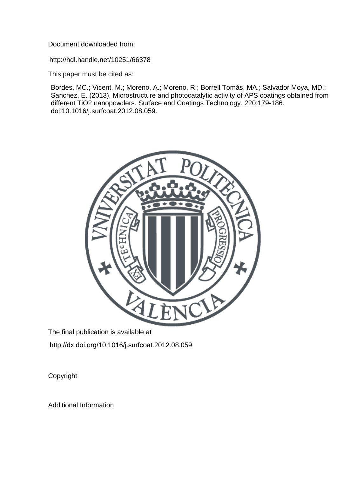Document downloaded from:

http://hdl.handle.net/10251/66378

This paper must be cited as:

Bordes, MC.; Vicent, M.; Moreno, A.; Moreno, R.; Borrell Tomás, MA.; Salvador Moya, MD.; Sanchez, E. (2013). Microstructure and photocatalytic activity of APS coatings obtained from different TiO2 nanopowders. Surface and Coatings Technology. 220:179-186. doi:10.1016/j.surfcoat.2012.08.059.



The final publication is available at http://dx.doi.org/10.1016/j.surfcoat.2012.08.059

Copyright

Additional Information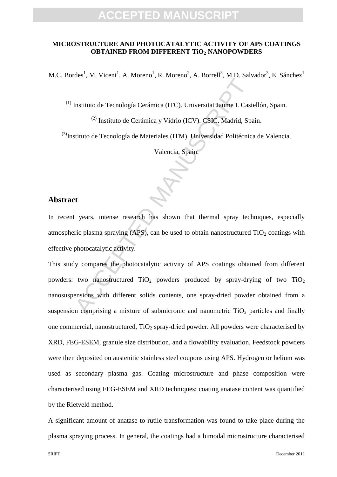#### **MICROSTRUCTURE AND PHOTOCATALYTIC ACTIVITY OF APS COATINGS OBTAINED FROM DIFFERENT TiO<sup>2</sup> NANOPOWDERS**

M.C. Bordes<sup>1</sup>, M. Vicent<sup>1</sup>, A. Moreno<sup>1</sup>, R. Moreno<sup>2</sup>, A. Borrell<sup>3</sup>, M.D. Salvador<sup>3</sup>, E. Sánchez<sup>1</sup>

(1) Instituto de Tecnología Cerámica (ITC). Universitat Jaume I. Castellón, Spain.

(2) Instituto de Cerámica y Vidrio (ICV). CSIC. Madrid, Spain.

(3)Instituto de Tecnología de Materiales (ITM). Universidad Politécnica de Valencia.

Valencia, Spain.

#### **Abstract**

In recent years, intense research has shown that thermal spray techniques, especially atmospheric plasma spraying (APS), can be used to obtain nanostructured  $TiO<sub>2</sub>$  coatings with effective photocatalytic activity.

Instituto de Tecnología Cerámica (ITC). Universitat Jaume I. Cast<br>
<sup>(2)</sup> Instituto de Cerámica y Vidrio (ICV). CSIC. Madrid, Spa<br>
stituto de Tecnología de Materiales (ITM). Universidad Politécnic<br>
Valencia, Spain.<br>
<br>
<br>
<br>
<br> This study compares the photocatalytic activity of APS coatings obtained from different powders: two nanostructured  $TiO<sub>2</sub>$  powders produced by spray-drying of two  $TiO<sub>2</sub>$ nanosuspensions with different solids contents, one spray-dried powder obtained from a suspension comprising a mixture of submicronic and nanometric  $TiO<sub>2</sub>$  particles and finally one commercial, nanostructured,  $TiO<sub>2</sub>$  spray-dried powder. All powders were characterised by XRD, FEG-ESEM, granule size distribution, and a flowability evaluation. Feedstock powders were then deposited on austenitic stainless steel coupons using APS. Hydrogen or helium was used as secondary plasma gas. Coating microstructure and phase composition were characterised using FEG-ESEM and XRD techniques; coating anatase content was quantified by the Rietveld method.

A significant amount of anatase to rutile transformation was found to take place during the plasma spraying process. In general, the coatings had a bimodal microstructure characterised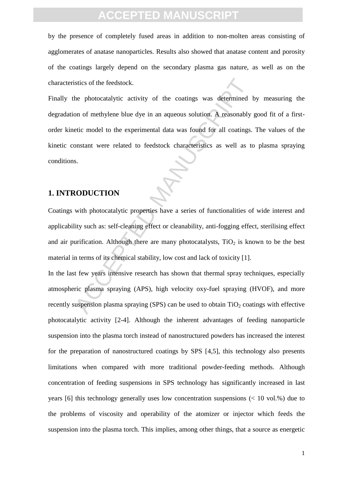by the presence of completely fused areas in addition to non-molten areas consisting of agglomerates of anatase nanoparticles. Results also showed that anatase content and porosity of the coatings largely depend on the secondary plasma gas nature, as well as on the characteristics of the feedstock.

istics of the feedstock.<br>
he photocatalytic activity of the coatings was determined<br>
on of methylene blue dye in an aqueous solution. A reasonably<br>
etic model to the experimental data was found for all coatings.<br>
onstant w Finally the photocatalytic activity of the coatings was determined by measuring the degradation of methylene blue dye in an aqueous solution. A reasonably good fit of a firstorder kinetic model to the experimental data was found for all coatings. The values of the kinetic constant were related to feedstock characteristics as well as to plasma spraying conditions.

#### **1. INTRODUCTION**

Coatings with photocatalytic properties have a series of functionalities of wide interest and applicability such as: self-cleaning effect or cleanability, anti-fogging effect, sterilising effect and air purification. Although there are many photocatalysts,  $TiO<sub>2</sub>$  is known to be the best material in terms of its chemical stability, low cost and lack of toxicity [1].

In the last few years intensive research has shown that thermal spray techniques, especially atmospheric plasma spraying (APS), high velocity oxy-fuel spraying (HVOF), and more recently suspension plasma spraying (SPS) can be used to obtain  $TiO<sub>2</sub>$  coatings with effective photocatalytic activity [2-4]. Although the inherent advantages of feeding nanoparticle suspension into the plasma torch instead of nanostructured powders has increased the interest for the preparation of nanostructured coatings by SPS [4,5], this technology also presents limitations when compared with more traditional powder-feeding methods. Although concentration of feeding suspensions in SPS technology has significantly increased in last years [6] this technology generally uses low concentration suspensions (< 10 vol.%) due to the problems of viscosity and operability of the atomizer or injector which feeds the suspension into the plasma torch. This implies, among other things, that a source as energetic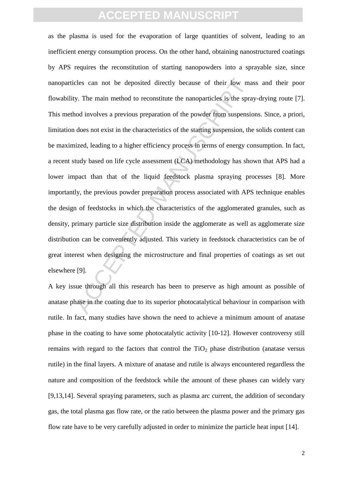cless can not be deposited directly because of their low may.<br>The main method to reconstitute the nanoparticles is the sprand involves a previous preparation of the powder from suspension, the dize in the characteristics o as the plasma is used for the evaporation of large quantities of solvent, leading to an inefficient energy consumption process. On the other hand, obtaining nanostructured coatings by APS requires the reconstitution of starting nanopowders into a sprayable size, since nanoparticles can not be deposited directly because of their low mass and their poor flowability. The main method to reconstitute the nanoparticles is the spray-drying route [7]. This method involves a previous preparation of the powder from suspensions. Since, a priori, limitation does not exist in the characteristics of the starting suspension, the solids content can be maximized, leading to a higher efficiency process in terms of energy consumption. In fact, a recent study based on life cycle assessment (LCA) methodology has shown that APS had a lower impact than that of the liquid feedstock plasma spraying processes [8]. More importantly, the previous powder preparation process associated with APS technique enables the design of feedstocks in which the characteristics of the agglomerated granules, such as density, primary particle size distribution inside the agglomerate as well as agglomerate size distribution can be conveniently adjusted. This variety in feedstock characteristics can be of great interest when designing the microstructure and final properties of coatings as set out elsewhere [9].

A key issue through all this research has been to preserve as high amount as possible of anatase phase in the coating due to its superior photocatalytical behaviour in comparison with rutile. In fact, many studies have shown the need to achieve a minimum amount of anatase phase in the coating to have some photocatalytic activity [10-12]. However controversy still remains with regard to the factors that control the  $TiO<sub>2</sub>$  phase distribution (anatase versus rutile) in the final layers. A mixture of anatase and rutile is always encountered regardless the nature and composition of the feedstock while the amount of these phases can widely vary [9,13,14]. Several spraying parameters, such as plasma arc current, the addition of secondary gas, the total plasma gas flow rate, or the ratio between the plasma power and the primary gas flow rate have to be very carefully adjusted in order to minimize the particle heat input [14].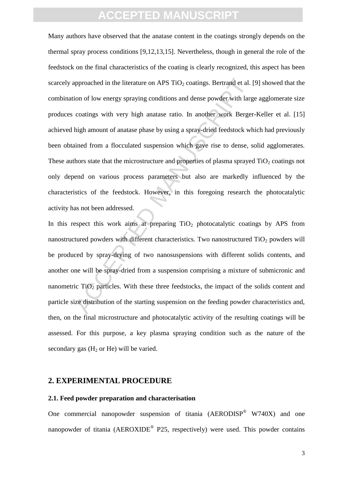upproached in the literature on APS TiO<sub>2</sub> coatings. Bertrand et al.<br>
ion of low energy spraying conditions and dense powder with larg<br>
coatings with very high anatase ratio. In another work Berger<br>
high amount of anatase Many authors have observed that the anatase content in the coatings strongly depends on the thermal spray process conditions [9,12,13,15]. Nevertheless, though in general the role of the feedstock on the final characteristics of the coating is clearly recognized, this aspect has been scarcely approached in the literature on APS  $TiO<sub>2</sub>$  coatings. Bertrand et al. [9] showed that the combination of low energy spraying conditions and dense powder with large agglomerate size produces coatings with very high anatase ratio. In another work Berger-Keller et al. [15] achieved high amount of anatase phase by using a spray-dried feedstock which had previously been obtained from a flocculated suspension which gave rise to dense, solid agglomerates. These authors state that the microstructure and properties of plasma sprayed  $TiO<sub>2</sub>$  coatings not only depend on various process parameters but also are markedly influenced by the characteristics of the feedstock. However, in this foregoing research the photocatalytic activity has not been addressed.

In this respect this work aims at preparing  $TiO<sub>2</sub>$  photocatalytic coatings by APS from nanostructured powders with different characteristics. Two nanostructured  $TiO<sub>2</sub>$  powders will be produced by spray-drying of two nanosuspensions with different solids contents, and another one will be spray-dried from a suspension comprising a mixture of submicronic and nanometric  $TiO<sub>2</sub>$  particles. With these three feedstocks, the impact of the solids content and particle size distribution of the starting suspension on the feeding powder characteristics and, then, on the final microstructure and photocatalytic activity of the resulting coatings will be assessed. For this purpose, a key plasma spraying condition such as the nature of the secondary gas  $(H_2 \text{ or } He)$  will be varied.

#### **2. EXPERIMENTAL PROCEDURE**

#### **2.1. Feed powder preparation and characterisation**

One commercial nanopowder suspension of titania  $(AERODISP^{\circledast} W740X)$  and one nanopowder of titania ( $AEROXIDE^{\circledast}$  P25, respectively) were used. This powder contains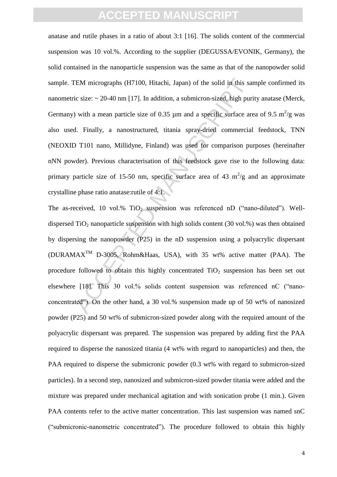EM micrographs (H7100, Hitachi, Japan) of the solid in this sa<br>ic size: ~ 20-40 nm [17]. In addition, a submicron-sized, high pur<br>) with a mean particle size of 0.35 µm and a specific surface are<br>d. Finally, a nanostructu anatase and rutile phases in a ratio of about 3:1 [16]. The solids content of the commercial suspension was 10 vol.%. According to the supplier (DEGUSSA/EVONIK, Germany), the solid contained in the nanoparticle suspension was the same as that of the nanopowder solid sample. TEM micrographs (H7100, Hitachi, Japan) of the solid in this sample confirmed its nanometric size: ~ 20-40 nm [17]. In addition, a submicron-sized, high purity anatase (Merck, Germany) with a mean particle size of 0.35  $\mu$ m and a specific surface area of 9.5 m<sup>2</sup>/g was also used. Finally, a nanostructured, titania spray-dried commercial feedstock, TNN (NEOXID T101 nano, Millidyne, Finland) was used for comparison purposes (hereinafter nNN powder). Previous characterisation of this feedstock gave rise to the following data: primary particle size of 15-50 nm, specific surface area of 43  $m^2/g$  and an approximate crystalline phase ratio anatase:rutile of 4:1.

The as-received, 10 vol.% TiO<sub>2</sub> suspension was referenced nD ("nano-diluted"). Welldispersed TiO<sub>2</sub> nanoparticle suspension with high solids content (30 vol.%) was then obtained by dispersing the nanopowder (P25) in the nD suspension using a polyacrylic dispersant  $(DURAMAX<sup>TM</sup> D-3005, Rohm&Haas, USA)$ , with 35 wt% active matter (PAA). The procedure followed to obtain this highly concentrated  $TiO<sub>2</sub>$  suspension has been set out elsewhere [18]. This 30 vol.% solids content suspension was referenced nC ("nanoconcentrated"). On the other hand, a 30 vol.% suspension made up of 50 wt% of nanosized powder (P25) and 50 wt% of submicron-sized powder along with the required amount of the polyacrylic dispersant was prepared. The suspension was prepared by adding first the PAA required to disperse the nanosized titania (4 wt% with regard to nanoparticles) and then, the PAA required to disperse the submicronic powder (0.3 wt% with regard to submicron-sized particles). In a second step, nanosized and submicron-sized powder titania were added and the mixture was prepared under mechanical agitation and with sonication probe (1 min.). Given PAA contents refer to the active matter concentration. This last suspension was named snC ("submicronic-nanometric concentrated"). The procedure followed to obtain this highly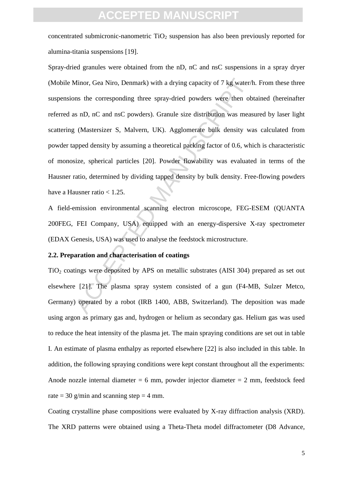concentrated submicronic-nanometric  $TiO<sub>2</sub>$  suspension has also been previously reported for alumina-titania suspensions [19].

Minor, Gea Niro, Denmark) with a drying capacity of 7 kg water/<br>ms the corresponding three spray-dried powders were then ob<br>s nD, nC and nsC powders). Granule size distribution was meas<br>(Mastersizer S, Malvern, UK). Agglom Spray-dried granules were obtained from the nD, nC and nsC suspensions in a spray dryer (Mobile Minor, Gea Niro, Denmark) with a drying capacity of 7 kg water/h. From these three suspensions the corresponding three spray-dried powders were then obtained (hereinafter referred as nD, nC and nsC powders). Granule size distribution was measured by laser light scattering (Mastersizer S, Malvern, UK). Agglomerate bulk density was calculated from powder tapped density by assuming a theoretical packing factor of 0.6, which is characteristic of monosize, spherical particles [20]. Powder flowability was evaluated in terms of the Hausner ratio, determined by dividing tapped density by bulk density. Free-flowing powders have a Hausner ratio  $< 1.25$ .

A field-emission environmental scanning electron microscope, FEG-ESEM (QUANTA 200FEG, FEI Company, USA) equipped with an energy-dispersive X-ray spectrometer (EDAX Genesis, USA) was used to analyse the feedstock microstructure.

### **2.2. Preparation and characterisation of coatings**

 $TiO<sub>2</sub>$  coatings were deposited by APS on metallic substrates (AISI 304) prepared as set out elsewhere [21]. The plasma spray system consisted of a gun (F4-MB, Sulzer Metco, Germany) operated by a robot (IRB 1400, ABB, Switzerland). The deposition was made using argon as primary gas and, hydrogen or helium as secondary gas. Helium gas was used to reduce the heat intensity of the plasma jet. The main spraying conditions are set out in table I. An estimate of plasma enthalpy as reported elsewhere [22] is also included in this table. In addition, the following spraying conditions were kept constant throughout all the experiments: Anode nozzle internal diameter  $= 6$  mm, powder injector diameter  $= 2$  mm, feedstock feed rate = 30 g/min and scanning step = 4 mm.

Coating crystalline phase compositions were evaluated by X-ray diffraction analysis (XRD). The XRD patterns were obtained using a Theta-Theta model diffractometer (D8 Advance,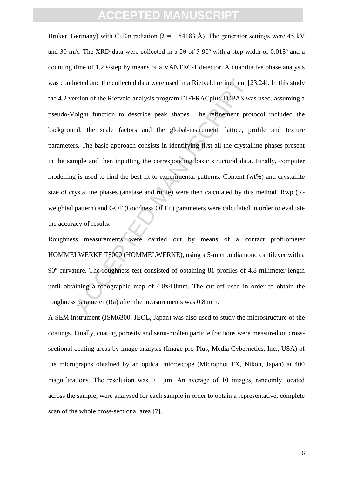ucted and the collected data were used in a Rietveld refinement [2<br>rsion of the Rietveld analysis program DIFFRACplus TOPAS wa<br>coight function to describe peak shapes. The refinement proto<br>oight function to describe peak s Bruker, Germany) with CuK $\alpha$  radiation ( $\lambda = 1.54183$  Å). The generator settings were 45 kV and 30 mA. The XRD data were collected in a 2θ of 5-90º with a step width of 0.015º and a counting time of 1.2 s/step by means of a VÅNTEC-1 detector. A quantitative phase analysis was conducted and the collected data were used in a Rietveld refinement [23,24]. In this study the 4.2 version of the Rietveld analysis program DIFFRACplus TOPAS was used, assuming a pseudo-Voight function to describe peak shapes. The refinement protocol included the background, the scale factors and the global-instrument, lattice, profile and texture parameters. The basic approach consists in identifying first all the crystalline phases present in the sample and then inputting the corresponding basic structural data. Finally, computer modelling is used to find the best fit to experimental patterns. Content (wt%) and crystallite size of crystalline phases (anatase and rutile) were then calculated by this method. Rwp (Rweighted pattern) and GOF (Goodness Of Fit) parameters were calculated in order to evaluate the accuracy of results.

Roughness measurements were carried out by means of a contact profilometer HOMMELWERKE T8000 (HOMMELWERKE), using a 5-micron diamond cantilever with a 90º curvature. The roughness test consisted of obtaining 81 profiles of 4.8-milimeter length until obtaining a topographic map of 4.8x4.8mm. The cut-off used in order to obtain the roughness parameter (Ra) after the measurements was 0.8 mm.

A SEM instrument (JSM6300, JEOL, Japan) was also used to study the microstructure of the coatings. Finally, coating porosity and semi-molten particle fractions were measured on crosssectional coating areas by image analysis (Image pro-Plus, Media Cybernetics, Inc., USA) of the micrographs obtained by an optical microscope (Microphot FX, Nikon, Japan) at 400 magnifications. The resolution was 0.1 μm. An average of 10 images, randomly located across the sample, were analysed for each sample in order to obtain a representative, complete scan of the whole cross-sectional area [7].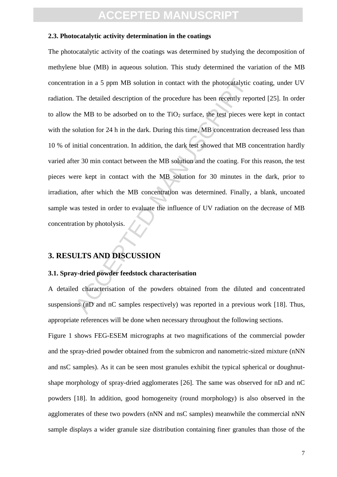#### **2.3. Photocatalytic activity determination in the coatings**

tion in a 5 ppm MB solution in contact with the photocatalytic<br>
The detailed description of the procedure has been recently repeate.<br>
the MB to be adsorbed on to the TiO<sub>2</sub> surface, the test pieces w<br>
solution for 24 h in The photocatalytic activity of the coatings was determined by studying the decomposition of methylene blue (MB) in aqueous solution. This study determined the variation of the MB concentration in a 5 ppm MB solution in contact with the photocatalytic coating, under UV radiation. The detailed description of the procedure has been recently reported [25]. In order to allow the MB to be adsorbed on to the  $TiO<sub>2</sub>$  surface, the test pieces were kept in contact with the solution for 24 h in the dark. During this time, MB concentration decreased less than 10 % of initial concentration. In addition, the dark test showed that MB concentration hardly varied after 30 min contact between the MB solution and the coating. For this reason, the test pieces were kept in contact with the MB solution for 30 minutes in the dark, prior to irradiation, after which the MB concentration was determined. Finally, a blank, uncoated sample was tested in order to evaluate the influence of UV radiation on the decrease of MB concentration by photolysis.

#### **3. RESULTS AND DISCUSSION**

#### **3.1. Spray-dried powder feedstock characterisation**

A detailed characterisation of the powders obtained from the diluted and concentrated suspensions (nD and nC samples respectively) was reported in a previous work [18]. Thus, appropriate references will be done when necessary throughout the following sections.

Figure 1 shows FEG-ESEM micrographs at two magnifications of the commercial powder and the spray-dried powder obtained from the submicron and nanometric-sized mixture (nNN and nsC samples). As it can be seen most granules exhibit the typical spherical or doughnutshape morphology of spray-dried agglomerates [26]. The same was observed for nD and nC powders [18]. In addition, good homogeneity (round morphology) is also observed in the agglomerates of these two powders (nNN and nsC samples) meanwhile the commercial nNN sample displays a wider granule size distribution containing finer granules than those of the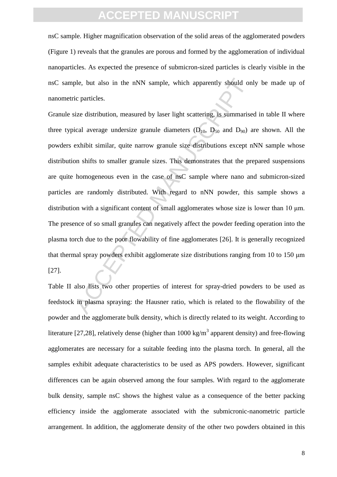nsC sample. Higher magnification observation of the solid areas of the agglomerated powders (Figure 1) reveals that the granules are porous and formed by the agglomeration of individual nanoparticles. As expected the presence of submicron-sized particles is clearly visible in the nsC sample, but also in the nNN sample, which apparently should only be made up of nanometric particles.

ple, but also in the nNN sample, which apparently should on<br>ic particles.<br>ize distribution, measured by laser light scattering, is summarise<br>ical average undersize granule diameters (D<sub>10</sub>, D<sub>50</sub> and D<sub>50</sub>) a<br>exhibit simil Granule size distribution, measured by laser light scattering, is summarised in table II where three typical average undersize granule diameters  $(D_{10}, D_{50}$  and  $D_{90})$  are shown. All the powders exhibit similar, quite narrow granule size distributions except nNN sample whose distribution shifts to smaller granule sizes. This demonstrates that the prepared suspensions are quite homogeneous even in the case of nsC sample where nano and submicron-sized particles are randomly distributed. With regard to nNN powder, this sample shows a distribution with a significant content of small agglomerates whose size is lower than 10 μm. The presence of so small granules can negatively affect the powder feeding operation into the plasma torch due to the poor flowability of fine agglomerates [26]. It is generally recognized that thermal spray powders exhibit agglomerate size distributions ranging from 10 to 150 μm [27].

Table II also lists two other properties of interest for spray-dried powders to be used as feedstock in plasma spraying: the Hausner ratio, which is related to the flowability of the powder and the agglomerate bulk density, which is directly related to its weight. According to literature [27,28], relatively dense (higher than 1000 kg/m<sup>3</sup> apparent density) and free-flowing agglomerates are necessary for a suitable feeding into the plasma torch. In general, all the samples exhibit adequate characteristics to be used as APS powders. However, significant differences can be again observed among the four samples. With regard to the agglomerate bulk density, sample nsC shows the highest value as a consequence of the better packing efficiency inside the agglomerate associated with the submicronic-nanometric particle arrangement. In addition, the agglomerate density of the other two powders obtained in this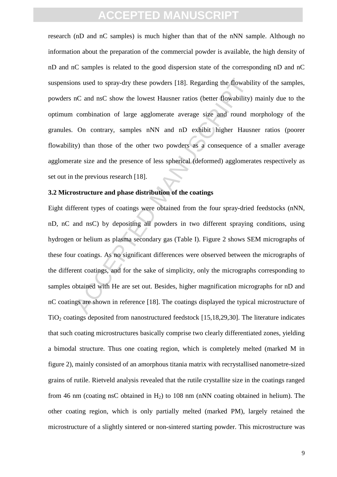research (nD and nC samples) is much higher than that of the nNN sample. Although no information about the preparation of the commercial powder is available, the high density of nD and nC samples is related to the good dispersion state of the corresponding nD and nC suspensions used to spray-dry these powders [18]. Regarding the flowability of the samples, powders nC and nsC show the lowest Hausner ratios (better flowability) mainly due to the optimum combination of large agglomerate average size and round morphology of the granules. On contrary, samples nNN and nD exhibit higher Hausner ratios (poorer flowability) than those of the other two powders as a consequence of a smaller average agglomerate size and the presence of less spherical (deformed) agglomerates respectively as set out in the previous research [18].

#### **3.2 Microstructure and phase distribution of the coatings**

Instructure and phase absolutes [18]. Regarding the flowability in C and nsC show the lowest Hausner ratios (better flowability) combination of large agglomerate average size and round r On contrary, samples nNN and nD exh Eight different types of coatings were obtained from the four spray-dried feedstocks (nNN, nD, nC and nsC) by depositing all powders in two different spraying conditions, using hydrogen or helium as plasma secondary gas (Table I). Figure 2 shows SEM micrographs of these four coatings. As no significant differences were observed between the micrographs of the different coatings, and for the sake of simplicity, only the micrographs corresponding to samples obtained with He are set out. Besides, higher magnification micrographs for nD and nC coatings are shown in reference [18]. The coatings displayed the typical microstructure of  $TiO<sub>2</sub>$  coatings deposited from nanostructured feedstock [15,18,29,30]. The literature indicates that such coating microstructures basically comprise two clearly differentiated zones, yielding a bimodal structure. Thus one coating region, which is completely melted (marked M in figure 2), mainly consisted of an amorphous titania matrix with recrystallised nanometre-sized grains of rutile. Rietveld analysis revealed that the rutile crystallite size in the coatings ranged from 46 nm (coating nsC obtained in  $H_2$ ) to 108 nm (nNN coating obtained in helium). The other coating region, which is only partially melted (marked PM), largely retained the microstructure of a slightly sintered or non-sintered starting powder. This microstructure was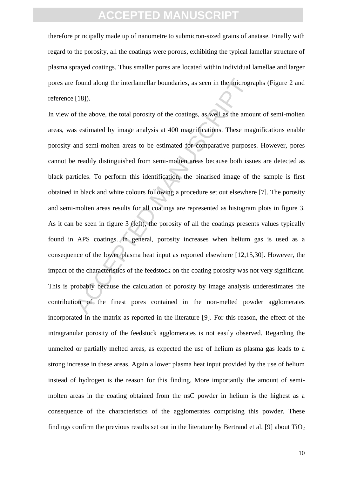therefore principally made up of nanometre to submicron-sized grains of anatase. Finally with regard to the porosity, all the coatings were porous, exhibiting the typical lamellar structure of plasma sprayed coatings. Thus smaller pores are located within individual lamellae and larger pores are found along the interlamellar boundaries, as seen in the micrographs (Figure 2 and reference [18]).

found along the interlamellar boundaries, as seen in the microgr<br>[18]).<br>The five above, the total porosity of the coatings, as well as the amove<br>s estimated by image analysis at 400 magnifications. These mand semi-molten a In view of the above, the total porosity of the coatings, as well as the amount of semi-molten areas, was estimated by image analysis at 400 magnifications. These magnifications enable porosity and semi-molten areas to be estimated for comparative purposes. However, pores cannot be readily distinguished from semi-molten areas because both issues are detected as black particles. To perform this identification, the binarised image of the sample is first obtained in black and white colours following a procedure set out elsewhere [7]. The porosity and semi-molten areas results for all coatings are represented as histogram plots in figure 3. As it can be seen in figure 3 (left), the porosity of all the coatings presents values typically found in APS coatings. In general, porosity increases when helium gas is used as a consequence of the lower plasma heat input as reported elsewhere [12,15,30]. However, the impact of the characteristics of the feedstock on the coating porosity was not very significant. This is probably because the calculation of porosity by image analysis underestimates the contribution of the finest pores contained in the non-melted powder agglomerates incorporated in the matrix as reported in the literature [9]. For this reason, the effect of the intragranular porosity of the feedstock agglomerates is not easily observed. Regarding the unmelted or partially melted areas, as expected the use of helium as plasma gas leads to a strong increase in these areas. Again a lower plasma heat input provided by the use of helium instead of hydrogen is the reason for this finding. More importantly the amount of semimolten areas in the coating obtained from the nsC powder in helium is the highest as a consequence of the characteristics of the agglomerates comprising this powder. These findings confirm the previous results set out in the literature by Bertrand et al. [9] about  $TiO<sub>2</sub>$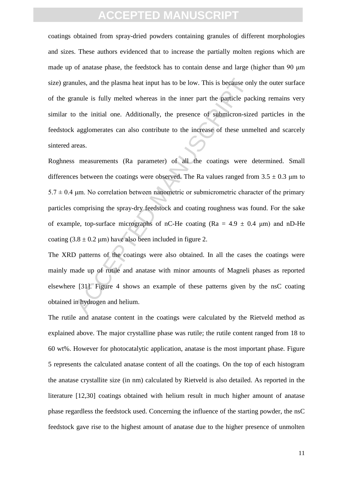coatings obtained from spray-dried powders containing granules of different morphologies and sizes. These authors evidenced that to increase the partially molten regions which are made up of anatase phase, the feedstock has to contain dense and large (higher than 90 μm size) granules, and the plasma heat input has to be low. This is because only the outer surface of the granule is fully melted whereas in the inner part the particle packing remains very similar to the initial one. Additionally, the presence of submicron-sized particles in the feedstock agglomerates can also contribute to the increase of these unmelted and scarcely sintered areas.

nules, and the plasma heat input has to be low. This is because on<br>anule is fully melted whereas in the inner part the particle pace<br>on<br>anule is fully melted whereas in the inner part the particle pace<br>or the initial one. Roghness measurements (Ra parameter) of all the coatings were determined. Small differences between the coatings were observed. The Ra values ranged from  $3.5 \pm 0.3$  um to  $5.7 \pm 0.4$  μm. No correlation between nanometric or submicrometric character of the primary particles comprising the spray-dry feedstock and coating roughness was found. For the sake of example, top-surface micrographs of nC-He coating ( $Ra = 4.9 \pm 0.4 \mu m$ ) and nD-He coating  $(3.8 \pm 0.2 \,\mu\text{m})$  have also been included in figure 2.

The XRD patterns of the coatings were also obtained. In all the cases the coatings were mainly made up of rutile and anatase with minor amounts of Magneli phases as reported elsewhere [31]. Figure 4 shows an example of these patterns given by the nsC coating obtained in hydrogen and helium.

The rutile and anatase content in the coatings were calculated by the Rietveld method as explained above. The major crystalline phase was rutile; the rutile content ranged from 18 to 60 wt%. However for photocatalytic application, anatase is the most important phase. Figure 5 represents the calculated anatase content of all the coatings. On the top of each histogram the anatase crystallite size (in nm) calculated by Rietveld is also detailed. As reported in the literature [12,30] coatings obtained with helium result in much higher amount of anatase phase regardless the feedstock used. Concerning the influence of the starting powder, the nsC feedstock gave rise to the highest amount of anatase due to the higher presence of unmolten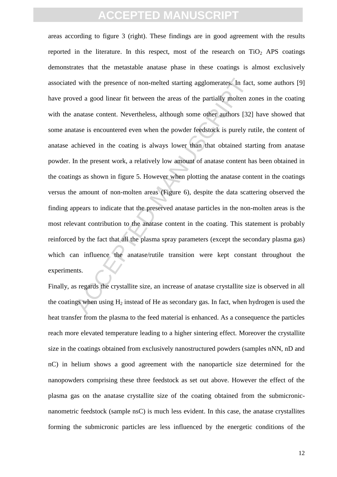If with the presence of non-melted starting agglomerates. In fact wed a good linear fit between the areas of the partially molten zuanatase content. Nevertheless, although some other authors [32] tase is encountered even areas according to figure 3 (right). These findings are in good agreement with the results reported in the literature. In this respect, most of the research on  $TiO<sub>2</sub>$  APS coatings demonstrates that the metastable anatase phase in these coatings is almost exclusively associated with the presence of non-melted starting agglomerates. In fact, some authors [9] have proved a good linear fit between the areas of the partially molten zones in the coating with the anatase content. Nevertheless, although some other authors [32] have showed that some anatase is encountered even when the powder feedstock is purely rutile, the content of anatase achieved in the coating is always lower than that obtained starting from anatase powder. In the present work, a relatively low amount of anatase content has been obtained in the coatings as shown in figure 5. However when plotting the anatase content in the coatings versus the amount of non-molten areas (Figure 6), despite the data scattering observed the finding appears to indicate that the preserved anatase particles in the non-molten areas is the most relevant contribution to the anatase content in the coating. This statement is probably reinforced by the fact that all the plasma spray parameters (except the secondary plasma gas) which can influence the anatase/rutile transition were kept constant throughout the experiments.

Finally, as regards the crystallite size, an increase of anatase crystallite size is observed in all the coatings when using  $H_2$  instead of He as secondary gas. In fact, when hydrogen is used the heat transfer from the plasma to the feed material is enhanced. As a consequence the particles reach more elevated temperature leading to a higher sintering effect. Moreover the crystallite size in the coatings obtained from exclusively nanostructured powders (samples nNN, nD and nC) in helium shows a good agreement with the nanoparticle size determined for the nanopowders comprising these three feedstock as set out above. However the effect of the plasma gas on the anatase crystallite size of the coating obtained from the submicronicnanometric feedstock (sample nsC) is much less evident. In this case, the anatase crystallites forming the submicronic particles are less influenced by the energetic conditions of the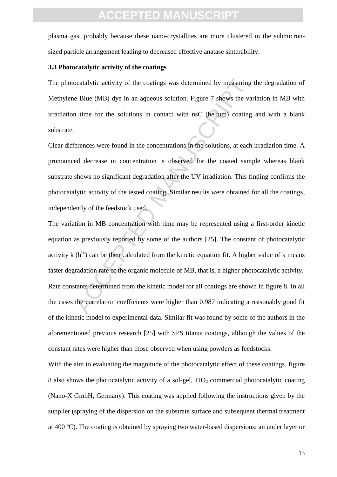plasma gas, probably because these nano-crystallites are more clustered in the submicronsized particle arrangement leading to decreased effective anatase sinterability.

#### **3.3 Photocatalytic activity of the coatings**

The photocatalytic activity of the coatings was determined by measuring the degradation of Methylene Blue (MB) dye in an aqueous solution. Figure 7 shows the variation in MB with irradiation time for the solutions in contact with nsC (helium) coating and with a blank substrate.

Clear differences were found in the concentrations in the solutions, at each irradiation time. A pronounced decrease in concentration is observed for the coated sample whereas blank substrate shows no significant degradation after the UV irradiation. This finding confirms the photocatalytic activity of the tested coating. Similar results were obtained for all the coatings, independently of the feedstock used.

ocatalytic activity of the coatings was determined by measuring<br>
e Blue (MB) dye in an aqueous solution. Figure 7 shows the va<br>
n time for the solutions in contact with nsC (helium) coating<br>
derences were found in the conc The variation in MB concentration with time may be represented using a first-order kinetic equation as previously reported by some of the authors [25]. The constant of photocatalytic activity  $k(h^{-1})$  can be then calculated from the kinetic equation fit. A higher value of k means faster degradation rate of the organic molecule of MB, that is, a higher photocatalytic activity. Rate constants determined from the kinetic model for all coatings are shown in figure 8. In all the cases the correlation coefficients were higher than 0.987 indicating a reasonably good fit of the kinetic model to experimental data. Similar fit was found by some of the authors in the aforementioned previous research [25] with SPS titania coatings, although the values of the constant rates were higher than those observed when using powders as feedstocks.

With the aim to evaluating the magnitude of the photocatalytic effect of these coatings, figure 8 also shows the photocatalytic activity of a sol-gel, TiO<sub>2</sub> commercial photocatalytic coating (Nano-X GmbH, Germany). This coating was applied following the instructions given by the supplier (spraying of the dispersion on the substrate surface and subsequent thermal treatment at 400 ºC). The coating is obtained by spraying two water-based dispersions: an under layer or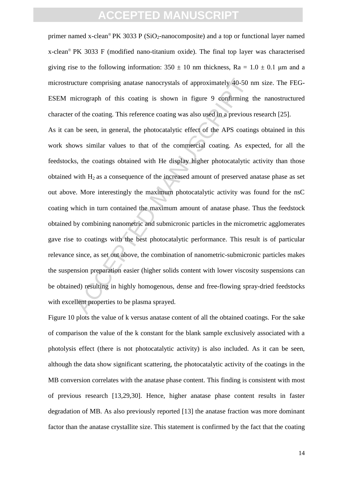primer named x-clean<sup>®</sup> PK 3033 P (SiO<sub>2</sub>-nanocomposite) and a top or functional layer named x-clean<sup>®</sup> PK 3033 F (modified nano-titanium oxide). The final top layer was characterised giving rise to the following information:  $350 \pm 10$  nm thickness, Ra =  $1.0 \pm 0.1$  µm and a microstructure comprising anatase nanocrystals of approximately 40-50 nm size. The FEG-ESEM micrograph of this coating is shown in figure 9 confirming the nanostructured character of the coating. This reference coating was also used in a previous research [25].

cture comprising anatase nanocrystals of approximately 40-50 r<br>incrograph of this coating is shown in figure 9 confirming<br>of the coating. This reference coating was also used in a previous<br>be seen, in general, the photocat As it can be seen, in general, the photocatalytic effect of the APS coatings obtained in this work shows similar values to that of the commercial coating. As expected, for all the feedstocks, the coatings obtained with He display higher photocatalytic activity than those obtained with  $H_2$  as a consequence of the increased amount of preserved anatase phase as set out above. More interestingly the maximum photocatalytic activity was found for the nsC coating which in turn contained the maximum amount of anatase phase. Thus the feedstock obtained by combining nanometric and submicronic particles in the micrometric agglomerates gave rise to coatings with the best photocatalytic performance. This result is of particular relevance since, as set out above, the combination of nanometric-submicronic particles makes the suspension preparation easier (higher solids content with lower viscosity suspensions can be obtained) resulting in highly homogenous, dense and free-flowing spray-dried feedstocks with excellent properties to be plasma sprayed.

Figure 10 plots the value of k versus anatase content of all the obtained coatings. For the sake of comparison the value of the k constant for the blank sample exclusively associated with a photolysis effect (there is not photocatalytic activity) is also included. As it can be seen, although the data show significant scattering, the photocatalytic activity of the coatings in the MB conversion correlates with the anatase phase content. This finding is consistent with most of previous research [13,29,30]. Hence, higher anatase phase content results in faster degradation of MB. As also previously reported [13] the anatase fraction was more dominant factor than the anatase crystallite size. This statement is confirmed by the fact that the coating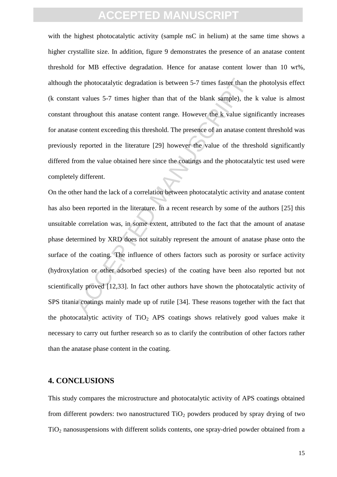with the highest photocatalytic activity (sample nsC in helium) at the same time shows a higher crystallite size. In addition, figure 9 demonstrates the presence of an anatase content threshold for MB effective degradation. Hence for anatase content lower than 10 wt%, although the photocatalytic degradation is between 5-7 times faster than the photolysis effect (k constant values 5-7 times higher than that of the blank sample), the k value is almost constant throughout this anatase content range. However the k value significantly increases for anatase content exceeding this threshold. The presence of an anatase content threshold was previously reported in the literature [29] however the value of the threshold significantly differed from the value obtained here since the coatings and the photocatalytic test used were completely different.

the photocatalytic degradation is between 5-7 times faster than the photocatalytic degradation is between 5-7 times faster than the throughout this anatase content range. However the k value signe exponent exceeding this t On the other hand the lack of a correlation between photocatalytic activity and anatase content has also been reported in the literature. In a recent research by some of the authors [25] this unsuitable correlation was, in some extent, attributed to the fact that the amount of anatase phase determined by XRD does not suitably represent the amount of anatase phase onto the surface of the coating. The influence of others factors such as porosity or surface activity (hydroxylation or other adsorbed species) of the coating have been also reported but not scientifically proved [12,33]. In fact other authors have shown the photocatalytic activity of SPS titania coatings mainly made up of rutile [34]. These reasons together with the fact that the photocatalytic activity of  $TiO<sub>2</sub>$  APS coatings shows relatively good values make it necessary to carry out further research so as to clarify the contribution of other factors rather than the anatase phase content in the coating.

#### **4. CONCLUSIONS**

This study compares the microstructure and photocatalytic activity of APS coatings obtained from different powders: two nanostructured  $TiO<sub>2</sub>$  powders produced by spray drying of two TiO<sup>2</sup> nanosuspensions with different solids contents, one spray-dried powder obtained from a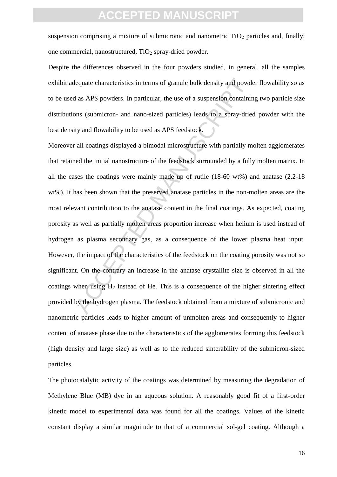suspension comprising a mixture of submicronic and nanometric  $TiO<sub>2</sub>$  particles and, finally, one commercial, nanostructured,  $TiO<sub>2</sub>$  spray-dried powder.

Despite the differences observed in the four powders studied, in general, all the samples exhibit adequate characteristics in terms of granule bulk density and powder flowability so as to be used as APS powders. In particular, the use of a suspension containing two particle size distributions (submicron- and nano-sized particles) leads to a spray-dried powder with the best density and flowability to be used as APS feedstock.

dequate characteristics in terms of granule bulk density and powds<br>
as APS powders. In particular, the use of a suspension containin<br>
ons (submicron- and nano-sized particles) leads to a spray-drie<br>
ity and flowability to Moreover all coatings displayed a bimodal microstructure with partially molten agglomerates that retained the initial nanostructure of the feedstock surrounded by a fully molten matrix. In all the cases the coatings were mainly made up of rutile (18-60 wt%) and anatase (2.2-18 wt%). It has been shown that the preserved anatase particles in the non-molten areas are the most relevant contribution to the anatase content in the final coatings. As expected, coating porosity as well as partially molten areas proportion increase when helium is used instead of hydrogen as plasma secondary gas, as a consequence of the lower plasma heat input. However, the impact of the characteristics of the feedstock on the coating porosity was not so significant. On the contrary an increase in the anatase crystallite size is observed in all the coatings when using  $H_2$  instead of He. This is a consequence of the higher sintering effect provided by the hydrogen plasma. The feedstock obtained from a mixture of submicronic and nanometric particles leads to higher amount of unmolten areas and consequently to higher content of anatase phase due to the characteristics of the agglomerates forming this feedstock (high density and large size) as well as to the reduced sinterability of the submicron-sized particles.

The photocatalytic activity of the coatings was determined by measuring the degradation of Methylene Blue (MB) dye in an aqueous solution. A reasonably good fit of a first-order kinetic model to experimental data was found for all the coatings. Values of the kinetic constant display a similar magnitude to that of a commercial sol-gel coating. Although a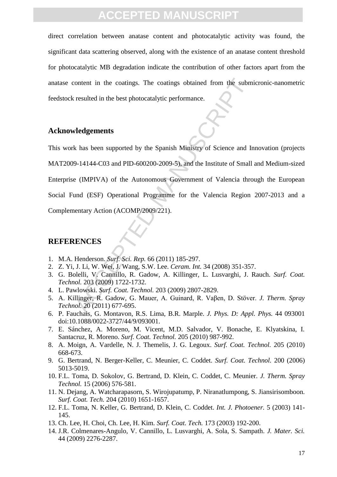direct correlation between anatase content and photocatalytic activity was found, the significant data scattering observed, along with the existence of an anatase content threshold for photocatalytic MB degradation indicate the contribution of other factors apart from the anatase content in the coatings. The coatings obtained from the submicronic-nanometric feedstock resulted in the best photocatalytic performance.

#### **Acknowledgements**

content in the coatings. The coatings obtained from the subm<br>resulted in the best photocatalytic performance.<br> **Pledgements**<br>
A has been supported by the Spanish Ministry of Science and In<br>
9-14144-C03 and PID-600200-2009-This work has been supported by the Spanish Ministry of Science and Innovation (projects MAT2009-14144-C03 and PID-600200-2009-5), and the Institute of Small and Medium-sized Enterprise (IMPIVA) of the Autonomous Government of Valencia through the European Social Fund (ESF) Operational Programme for the Valencia Region 2007-2013 and a Complementary Action (ACOMP/2009/221).

### **REFERENCES**

- 1. M.A. Henderson. *Surf. Sci. Rep.* 66 (2011) 185-297.
- 2. Z. Yi, J. Li, W. Wei, J. Wang, S.W. Lee. *Ceram. Int.* 34 (2008) 351-357.
- 3. G. Bolelli, V. Cannillo, R. Gadow, A. Killinger, L. Lusvarghi, J. Rauch. *Surf. Coat. Technol.* 203 (2009) 1722-1732.
- 4. L. Pawlowski. *Surf. Coat. Technol.* 203 (2009) 2807-2829.
- 5. A. Killinger, R. Gadow, G. Mauer, A. Guinard, R. Vaβen, D. Stöver. *J. Therm. Spray Technol.* 20 (2011) 677-695.
- 6. P. Fauchais, G. Montavon, R.S. Lima, B.R. Marple. *J. Phys. D: Appl. Phys.* 44 093001 doi:10.1088/0022-3727/44/9/093001.
- 7. E. Sánchez, A. Moreno, M. Vicent, M.D. Salvador, V. Bonache, E. Klyatskina, I. Santacruz, R. Moreno. *Surf. Coat. Technol.* 205 (2010) 987-992.
- 8. A. Moign, A. Vardelle, N. J. Themelis, J. G. Legoux. *Surf. Coat. Technol.* 205 (2010) 668-673.
- 9. G. Bertrand, N. Berger-Keller, C. Meunier, C. Coddet. *Surf. Coat. Technol.* 200 (2006) 5013-5019.
- 10. F.L. Toma, D. Sokolov, G. Bertrand, D. Klein, C. Coddet, C. Meunier. *J. Therm. Spray Technol.* 15 (2006) 576-581.
- 11. N. Dejang, A. Watcharapasorn, S. Wirojupatump, P. Niranatlumpong, S. Jiansirisomboon. *Surf. Coat. Tech.* 204 (2010) 1651-1657.
- 12. F.L. Toma, N. Keller, G. Bertrand, D. Klein, C. Coddet. *Int. J. Photoener.* 5 (2003) 141- 145.
- 13. Ch. Lee, H. Choi, Ch. Lee, H. Kim. *Surf. Coat. Tech.* 173 (2003) 192-200.
- 14. J.R. Colmenares-Angulo, V. Cannillo, L. Lusvarghi, A. Sola, S. Sampath. *J. Mater. Sci.* 44 (2009) 2276-2287.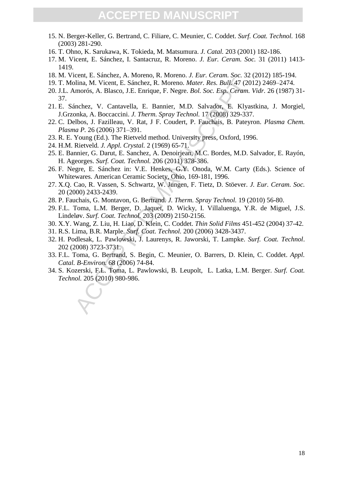- 15. N. Berger-Keller, G. Bertrand, C. Filiare, C. Meunier, C. Coddet. *Surf. Coat. Technol.* 168 (2003) 281-290.
- 16. T. Ohno, K. Sarukawa, K. Tokieda, M. Matsumura. *J. Catal.* 203 (2001) 182-186.
- 17. M. Vicent, E. Sánchez, I. Santacruz, R. Moreno. *J. Eur. Ceram. Soc.* 31 (2011) 1413- 1419.
- 18. M. Vicent, E. Sánchez, A. Moreno, R. Moreno. *J. Eur. Ceram. Soc.* 32 (2012) 185-194.
- 19. T. Molina, M. Vicent, E. Sánchez, R. Moreno. *Mater. Res. Bull.* 47 (2012) 2469–2474.
- blina, M. Vicent, E. Sánchez, R. Moreno. *Mater. Res. Bull.* 47 (20 mnorós, A. Blasco, J.E. Enrique, F. Negre. *Bol. Soc. Esp. Ceram.*<br>inchez, V. Cantavella, E. Bannier, M.D. Salvador, E. Klyas<br>poha, A. Boccaccini. J. Ther 20. J.L. Amorós, A. Blasco, J.E. Enrique, F. Negre. *Bol. Soc. Esp. Ceram. Vidr.* 26 (1987) 31- 37.
- 21. E. Sánchez, V. Cantavella, E. Bannier, M.D. Salvador, E. Klyastkina, J. Morgiel, J.Grzonka, A. Boccaccini. *J. Therm. Spray Technol.* 17 (2008) 329-337.
- 22. C. Delbos, J. Fazilleau, V. Rat, J F. Coudert, P. Fauchais, B. Pateyron. *Plasma Chem. Plasma P.* 26 (2006) 371–391.
- 23. R. E. Young (Ed.). The Rietveld method. University press, Oxford, 1996.
- 24. H.M. Rietveld*. J. Appl. Crystal.* 2 (1969) 65-71.
- 25. E. Bannier, G. Darut, E. Sanchez, A. Denoirjean, M.C. Bordes, M.D. Salvador, E. Rayón, H. Ageorges. *Surf. Coat. Technol.* 206 (2011) 378-386.
- 26. F. Negre, E. Sánchez in: V.E. Henkes, G.Y. Onoda, W.M. Carty (Eds.). Science of Whitewares. American Ceramic Society, Ohio, 169-181, 1996.
- 27. X.Q. Cao, R. Vassen, S. Schwartz, W. Jungen, F. Tietz, D. Stöever. *J. Eur. Ceram. Soc.* 20 (2000) 2433-2439.
- 28. P. Fauchais, G. Montavon, G. Bertrand. *J. Therm. Spray Technol.* 19 (2010) 56-80.
- 29. F.L. Toma, L.M. Berger, D. Jaquet, D. Wicky, I. Villaluenga, Y.R. de Miguel, J.S. Lindeløv. *Surf. Coat. Technol.* 203 (2009) 2150-2156.
- 30. X.Y. Wang, Z. Liu, H. Liao, D. Klein, C. Coddet. *Thin Solid Films* 451-452 (2004) 37-42.
- 31. R.S. Lima, B.R. Marple. *Surf. Coat. Technol.* 200 (2006) 3428-3437.
- 32. H. Podlesak, L. Pawlowski, J. Laurenys, R. Jaworski, T. Lampke. *Surf. Coat. Technol*. 202 (2008) 3723-3731.
- 33. F.L. Toma, G. Bertrand, S. Begin, C. Meunier, O. Barrers, D. Klein, C. Coddet. *Appl. Catal. B-Environ.* 68 (2006) 74-84.
- 34. S. Kozerski, F.L. Toma, L. Pawlowski, B. Leupolt, L. Latka, L.M. Berger. *Surf. Coat. Technol.* 205 (2010) 980-986.

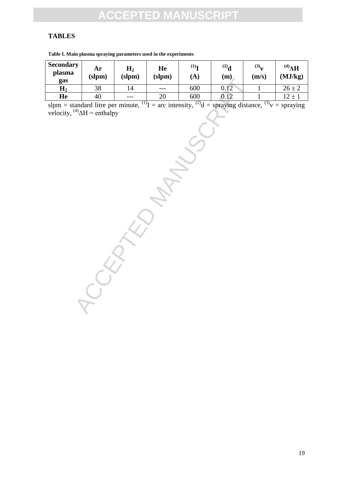### **TABLES**

| <b>Secondary</b><br>plasma<br>gas                                                                                                                                              | Ar<br>(slpm)    | H <sub>2</sub><br>(slpm) | He<br>(slpm) | $^{(1)}$<br>(A) | $^{(2)}$ d<br>(m) | (3) <sub>V</sub><br>(m/s) | $\mathbf{H}^{(4)}$<br>(MJ/kg) |  |  |  |  |
|--------------------------------------------------------------------------------------------------------------------------------------------------------------------------------|-----------------|--------------------------|--------------|-----------------|-------------------|---------------------------|-------------------------------|--|--|--|--|
| H <sub>2</sub>                                                                                                                                                                 | $\overline{38}$ | 14                       | $---$        | 600             | 0.12              | $\mathbf{1}$              | $26 \pm 2$                    |  |  |  |  |
| He                                                                                                                                                                             | 40              | $---$                    | 20           | 600             | 0.12              | 1                         | $12\pm1$                      |  |  |  |  |
| slpm = standard litre per minute, <sup>(1)</sup> I = arc intensity, <sup>(2)</sup> d = spraying distance, <sup>(3)</sup> v = spraying<br>velocity, $^{(4)}\Delta H$ = enthalpy |                 |                          |              |                 |                   |                           |                               |  |  |  |  |
|                                                                                                                                                                                |                 |                          |              |                 |                   |                           |                               |  |  |  |  |
|                                                                                                                                                                                |                 |                          |              |                 |                   |                           |                               |  |  |  |  |
|                                                                                                                                                                                |                 |                          |              |                 |                   |                           |                               |  |  |  |  |
|                                                                                                                                                                                |                 |                          |              |                 |                   |                           |                               |  |  |  |  |
|                                                                                                                                                                                |                 |                          |              |                 |                   |                           |                               |  |  |  |  |
|                                                                                                                                                                                |                 |                          |              |                 |                   |                           |                               |  |  |  |  |
|                                                                                                                                                                                |                 |                          |              |                 |                   |                           |                               |  |  |  |  |
|                                                                                                                                                                                |                 |                          |              |                 |                   |                           |                               |  |  |  |  |
|                                                                                                                                                                                |                 |                          |              |                 |                   |                           |                               |  |  |  |  |
|                                                                                                                                                                                |                 |                          |              |                 |                   |                           |                               |  |  |  |  |
|                                                                                                                                                                                |                 |                          |              |                 |                   |                           |                               |  |  |  |  |

**Table I. Main plasma spraying parameters used in the experiments**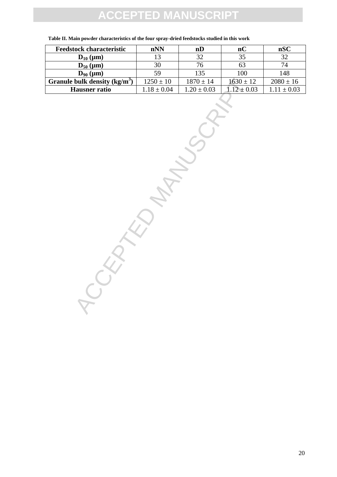# **TED M**

| <b>Feedstock characteristic</b> | nNN             | nD              | nC             | nSC             |
|---------------------------------|-----------------|-----------------|----------------|-----------------|
| $D_{10}$ (µm)                   | 13              | 32              | 35             | 32              |
| $D_{50}$ (µm)                   | 30              | 76              | 63             |                 |
| $D_{90}$ (µm)                   | 59              | 135             | 100            | 148             |
| Granule bulk density $(kg/m3)$  | $1250 \pm 10$   | $1870 \pm 14$   | $1630 \pm 12$  | $2080 \pm 16$   |
| <b>Hausner</b> ratio            | $1.18 \pm 0.04$ | $1.20 \pm 0.03$ | $.12 \pm 0.03$ | $1.11 \pm 0.03$ |

**Table II. Main powder characteristics of the four spray-dried feedstocks studied in this work**

bulk density (kg/m<sup>3</sup>)  $1250 \pm 10$   $1870 \pm 14$   $1630 \pm 1$ <br>
Hausner ratio  $1.18 \pm 0.04$   $1.20 \pm 0.03$   $1.12 \pm 0.0$ <br>  $1.12 \pm 0.04$   $1.20 \pm 0.03$   $1.12 \pm 0.04$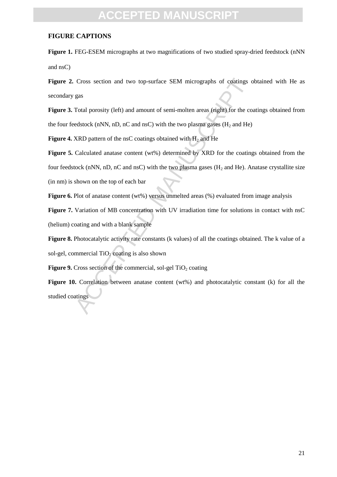#### **FIGURE CAPTIONS**

**Figure 1.** FEG-ESEM micrographs at two magnifications of two studied spray-dried feedstock (nNN and nsC)

**Figure 2.** Cross section and two top-surface SEM micrographs of coatings obtained with He as secondary gas

**Figure 3.** Total porosity (left) and amount of semi-molten areas (right) for the coatings obtained from the four feedstock (nNN, nD, nC and nsC) with the two plasma gases ( $H_2$  and He)

**Figure 4.** XRD pattern of the nsC coatings obtained with  $H_2$  and He

Cross section and two top-surface SEM micrographs of coatings c<br>gas<br>as<br>fotal porosity (left) and amount of semi-molten areas (right) for the coedstock (nNN, nD, nC and nsC) with the two plasma gases (H<sub>2</sub> and He)<br>XRD patt Figure 5. Calculated anatase content (wt%) determined by XRD for the coatings obtained from the four feedstock (nNN, nD, nC and nsC) with the two plasma gases ( $H_2$  and He). Anatase crystallite size (in nm) is shown on the top of each bar

**Figure 6.** Plot of anatase content (wt%) versus unmelted areas (%) evaluated from image analysis

**Figure 7.** Variation of MB concentration with UV irradiation time for solutions in contact with nsC (helium) coating and with a blank sample

**Figure 8.** Photocatalytic activity rate constants (k values) of all the coatings obtained. The k value of a sol-gel, commercial  $TiO<sub>2</sub>$  coating is also shown

**Figure 9.** Cross section of the commercial, sol-gel TiO<sub>2</sub> coating

Figure 10. Correlation between anatase content (wt%) and photocatalytic constant (k) for all the studied coatings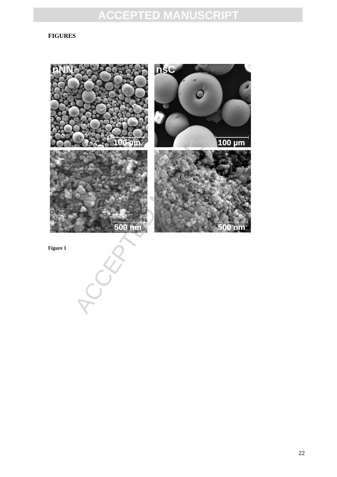### **FIGURES**



22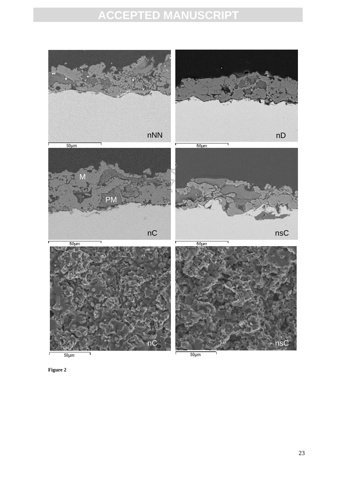

**Figure 2**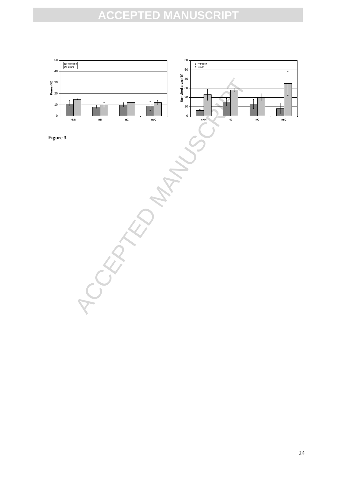



ACCEPTED MANUSCRIPT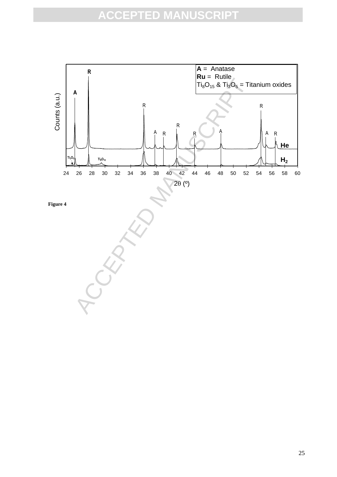

25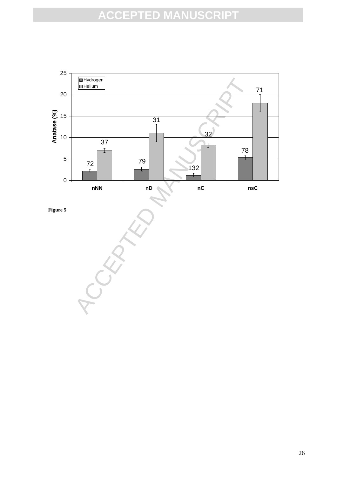

**Figure 5**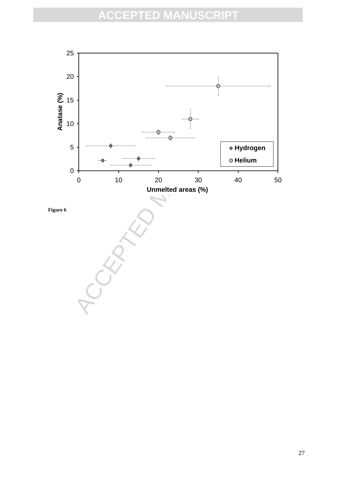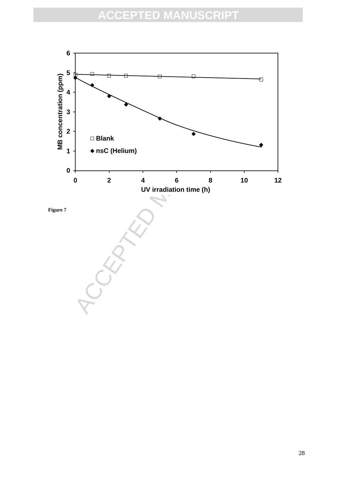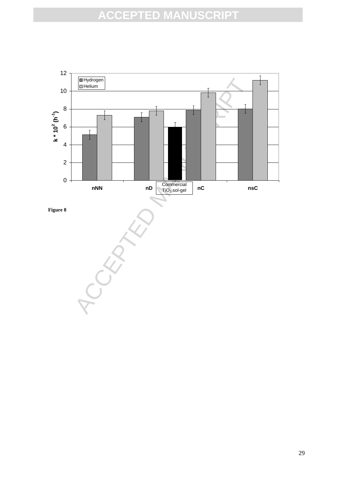

**Figure 8**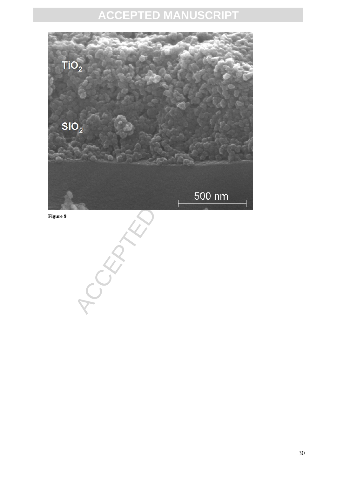

**Figure 9**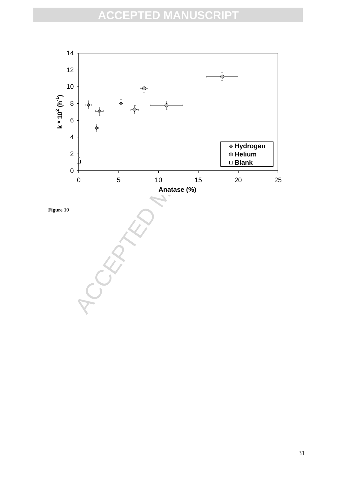